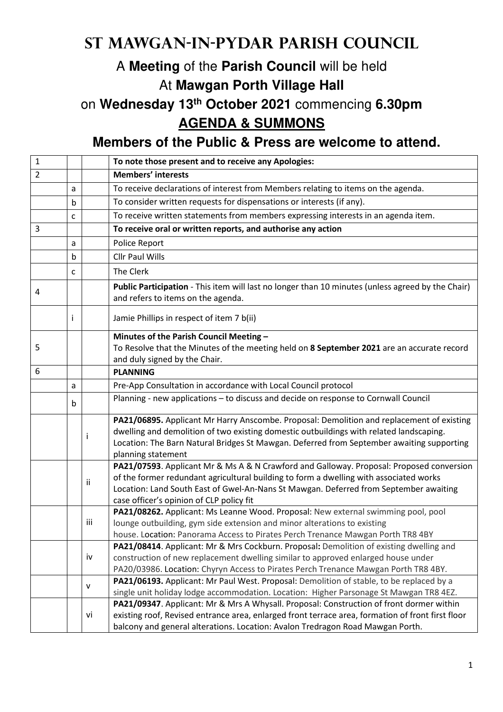## **St Mawgan-in-Pydar Parish Council**

## A **Meeting** of the **Parish Council** will be held At **Mawgan Porth Village Hall**

on **Wednesday 13th October 2021** commencing **6.30pm AGENDA & SUMMONS** 

**Members of the Public & Press are welcome to attend.** 

| $\mathbf{1}$   |   |              | To note those present and to receive any Apologies:                                                                                                                                                                                                                                                                     |
|----------------|---|--------------|-------------------------------------------------------------------------------------------------------------------------------------------------------------------------------------------------------------------------------------------------------------------------------------------------------------------------|
| $\overline{2}$ |   |              | <b>Members' interests</b>                                                                                                                                                                                                                                                                                               |
|                | a |              | To receive declarations of interest from Members relating to items on the agenda.                                                                                                                                                                                                                                       |
|                | b |              | To consider written requests for dispensations or interests (if any).                                                                                                                                                                                                                                                   |
|                | c |              | To receive written statements from members expressing interests in an agenda item.                                                                                                                                                                                                                                      |
| 3              |   |              | To receive oral or written reports, and authorise any action                                                                                                                                                                                                                                                            |
|                | a |              | Police Report                                                                                                                                                                                                                                                                                                           |
|                | b |              | <b>Cllr Paul Wills</b>                                                                                                                                                                                                                                                                                                  |
|                | c |              | The Clerk                                                                                                                                                                                                                                                                                                               |
| 4              |   |              | Public Participation - This item will last no longer than 10 minutes (unless agreed by the Chair)<br>and refers to items on the agenda.                                                                                                                                                                                 |
|                |   |              | Jamie Phillips in respect of item 7 b(ii)                                                                                                                                                                                                                                                                               |
| 5              |   |              | Minutes of the Parish Council Meeting -<br>To Resolve that the Minutes of the meeting held on 8 September 2021 are an accurate record<br>and duly signed by the Chair.                                                                                                                                                  |
| 6              |   |              | <b>PLANNING</b>                                                                                                                                                                                                                                                                                                         |
|                | a |              | Pre-App Consultation in accordance with Local Council protocol                                                                                                                                                                                                                                                          |
|                | b |              | Planning - new applications - to discuss and decide on response to Cornwall Council                                                                                                                                                                                                                                     |
|                |   | $\mathbf{I}$ | PA21/06895. Applicant Mr Harry Anscombe. Proposal: Demolition and replacement of existing<br>dwelling and demolition of two existing domestic outbuildings with related landscaping.<br>Location: The Barn Natural Bridges St Mawgan. Deferred from September awaiting supporting<br>planning statement                 |
|                |   | Ϊİ           | PA21/07593. Applicant Mr & Ms A & N Crawford and Galloway. Proposal: Proposed conversion<br>of the former redundant agricultural building to form a dwelling with associated works<br>Location: Land South East of Gwel-An-Nans St Mawgan. Deferred from September awaiting<br>case officer's opinion of CLP policy fit |
|                |   | iii          | PA21/08262. Applicant: Ms Leanne Wood. Proposal: New external swimming pool, pool<br>lounge outbuilding, gym side extension and minor alterations to existing<br>house. Location: Panorama Access to Pirates Perch Trenance Mawgan Porth TR8 4BY                                                                        |
|                |   | iv           | PA21/08414. Applicant: Mr & Mrs Cockburn. Proposal: Demolition of existing dwelling and<br>construction of new replacement dwelling similar to approved enlarged house under<br>PA20/03986. Location: Chyryn Access to Pirates Perch Trenance Mawgan Porth TR8 4BY.                                                     |
|                |   | v            | PA21/06193. Applicant: Mr Paul West. Proposal: Demolition of stable, to be replaced by a<br>single unit holiday lodge accommodation. Location: Higher Parsonage St Mawgan TR8 4EZ.                                                                                                                                      |
|                |   | vi           | PA21/09347. Applicant: Mr & Mrs A Whysall. Proposal: Construction of front dormer within<br>existing roof, Revised entrance area, enlarged front terrace area, formation of front first floor<br>balcony and general alterations. Location: Avalon Tredragon Road Mawgan Porth.                                         |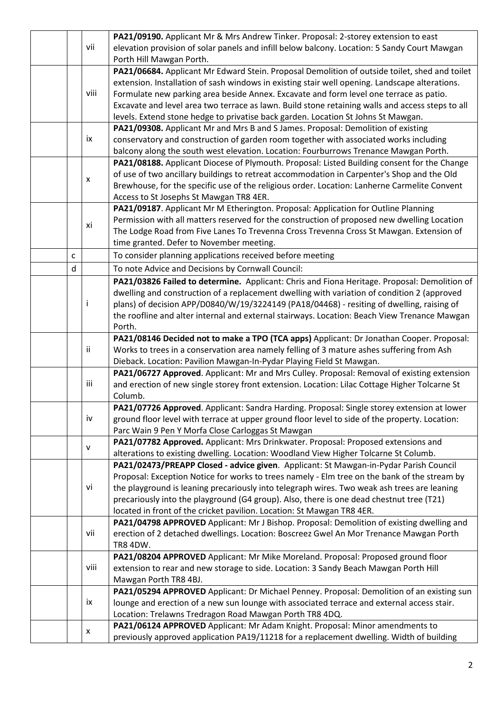|  |   |      | PA21/09190. Applicant Mr & Mrs Andrew Tinker. Proposal: 2-storey extension to east               |
|--|---|------|--------------------------------------------------------------------------------------------------|
|  |   | vii  | elevation provision of solar panels and infill below balcony. Location: 5 Sandy Court Mawgan     |
|  |   |      | Porth Hill Mawgan Porth.                                                                         |
|  |   |      | PA21/06684. Applicant Mr Edward Stein. Proposal Demolition of outside toilet, shed and toilet    |
|  |   |      | extension. Installation of sash windows in existing stair well opening. Landscape alterations.   |
|  |   | viii | Formulate new parking area beside Annex. Excavate and form level one terrace as patio.           |
|  |   |      | Excavate and level area two terrace as lawn. Build stone retaining walls and access steps to all |
|  |   |      | levels. Extend stone hedge to privatise back garden. Location St Johns St Mawgan.                |
|  |   |      | PA21/09308. Applicant Mr and Mrs B and S James. Proposal: Demolition of existing                 |
|  |   | ix   | conservatory and construction of garden room together with associated works including            |
|  |   |      | balcony along the south west elevation. Location: Fourburrows Trenance Mawgan Porth.             |
|  |   |      | PA21/08188. Applicant Diocese of Plymouth. Proposal: Listed Building consent for the Change      |
|  |   |      | of use of two ancillary buildings to retreat accommodation in Carpenter's Shop and the Old       |
|  |   | X    | Brewhouse, for the specific use of the religious order. Location: Lanherne Carmelite Convent     |
|  |   |      | Access to St Josephs St Mawgan TR8 4ER.                                                          |
|  |   |      |                                                                                                  |
|  |   |      | PA21/09187. Applicant Mr M Etherington. Proposal: Application for Outline Planning               |
|  |   | xi   | Permission with all matters reserved for the construction of proposed new dwelling Location      |
|  |   |      | The Lodge Road from Five Lanes To Trevenna Cross Trevenna Cross St Mawgan. Extension of          |
|  |   |      | time granted. Defer to November meeting.                                                         |
|  | C |      | To consider planning applications received before meeting                                        |
|  | d |      | To note Advice and Decisions by Cornwall Council:                                                |
|  |   |      | PA21/03826 Failed to determine. Applicant: Chris and Fiona Heritage. Proposal: Demolition of     |
|  |   |      | dwelling and construction of a replacement dwelling with variation of condition 2 (approved      |
|  |   | ı    | plans) of decision APP/D0840/W/19/3224149 (PA18/04468) - resiting of dwelling, raising of        |
|  |   |      | the roofline and alter internal and external stairways. Location: Beach View Trenance Mawgan     |
|  |   |      | Porth.                                                                                           |
|  |   |      | PA21/08146 Decided not to make a TPO (TCA apps) Applicant: Dr Jonathan Cooper. Proposal:         |
|  |   | ii   | Works to trees in a conservation area namely felling of 3 mature ashes suffering from Ash        |
|  |   |      | Dieback. Location: Pavilion Mawgan-In-Pydar Playing Field St Mawgan.                             |
|  |   |      | PA21/06727 Approved. Applicant: Mr and Mrs Culley. Proposal: Removal of existing extension       |
|  |   | iii  | and erection of new single storey front extension. Location: Lilac Cottage Higher Tolcarne St    |
|  |   |      | Columb.                                                                                          |
|  |   |      | PA21/07726 Approved. Applicant: Sandra Harding. Proposal: Single storey extension at lower       |
|  |   | iv   | ground floor level with terrace at upper ground floor level to side of the property. Location:   |
|  |   |      | Parc Wain 9 Pen Y Morfa Close Carloggas St Mawgan                                                |
|  |   |      | PA21/07782 Approved. Applicant: Mrs Drinkwater. Proposal: Proposed extensions and                |
|  |   | v    | alterations to existing dwelling. Location: Woodland View Higher Tolcarne St Columb.             |
|  |   |      | PA21/02473/PREAPP Closed - advice given. Applicant: St Mawgan-in-Pydar Parish Council            |
|  |   |      | Proposal: Exception Notice for works to trees namely - Elm tree on the bank of the stream by     |
|  |   | vi   | the playground is leaning precariously into telegraph wires. Two weak ash trees are leaning      |
|  |   |      | precariously into the playground (G4 group). Also, there is one dead chestnut tree (T21)         |
|  |   |      | located in front of the cricket pavilion. Location: St Mawgan TR8 4ER.                           |
|  |   |      | PA21/04798 APPROVED Applicant: Mr J Bishop. Proposal: Demolition of existing dwelling and        |
|  |   | vii  | erection of 2 detached dwellings. Location: Boscreez Gwel An Mor Trenance Mawgan Porth           |
|  |   |      | <b>TR8 4DW.</b>                                                                                  |
|  |   |      | PA21/08204 APPROVED Applicant: Mr Mike Moreland. Proposal: Proposed ground floor                 |
|  |   | viii | extension to rear and new storage to side. Location: 3 Sandy Beach Mawgan Porth Hill             |
|  |   |      | Mawgan Porth TR8 4BJ.                                                                            |
|  |   |      | PA21/05294 APPROVED Applicant: Dr Michael Penney. Proposal: Demolition of an existing sun        |
|  |   | ix   | lounge and erection of a new sun lounge with associated terrace and external access stair.       |
|  |   |      | Location: Trelawns Tredragon Road Mawgan Porth TR8 4DQ.                                          |
|  |   |      |                                                                                                  |
|  |   | X    | PA21/06124 APPROVED Applicant: Mr Adam Knight. Proposal: Minor amendments to                     |
|  |   |      | previously approved application PA19/11218 for a replacement dwelling. Width of building         |